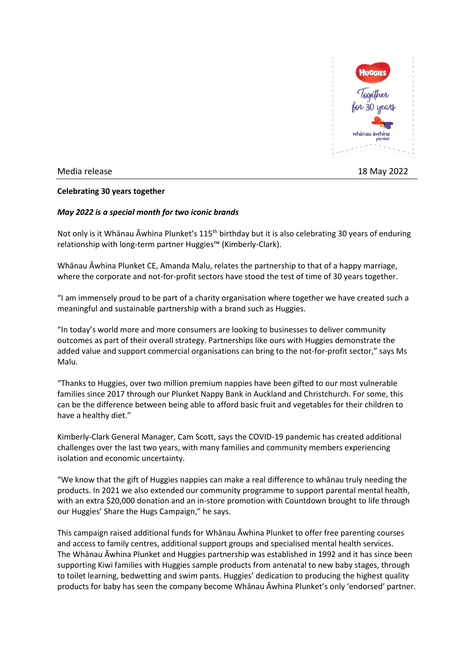

Media release 18 May 2022

## **Celebrating 30 years together**

## *May 2022 is a special month for two iconic brands*

Not only is it Whānau Āwhina Plunket's 115<sup>th</sup> birthday but it is also celebrating 30 years of enduring relationship with long-term partner Huggies™ (Kimberly-Clark).

Whānau Āwhina Plunket CE, Amanda Malu, relates the partnership to that of a happy marriage, where the corporate and not-for-profit sectors have stood the test of time of 30 years together.

"I am immensely proud to be part of a charity organisation where together we have created such a meaningful and sustainable partnership with a brand such as Huggies.

"In today's world more and more consumers are looking to businesses to deliver community outcomes as part of their overall strategy. Partnerships like ours with Huggies demonstrate the added value and support commercial organisations can bring to the not-for-profit sector," says Ms Malu.

"Thanks to Huggies, over two million premium nappies have been gifted to our most vulnerable families since 2017 through our Plunket Nappy Bank in Auckland and Christchurch. For some, this can be the difference between being able to afford basic fruit and vegetables for their children to have a healthy diet."

Kimberly-Clark General Manager, Cam Scott, says the COVID-19 pandemic has created additional challenges over the last two years, with many families and community members experiencing isolation and economic uncertainty.

"We know that the gift of Huggies nappies can make a real difference to whānau truly needing the products. In 2021 we also extended our community programme to support parental mental health, with an extra \$20,000 donation and an in-store promotion with Countdown brought to life through our Huggies' Share the Hugs Campaign," he says.

This campaign raised additional funds for Whānau Āwhina Plunket to offer free parenting courses and access to family centres, additional support groups and specialised mental health services. The Whānau Āwhina Plunket and Huggies partnership was established in 1992 and it has since been supporting Kiwi families with Huggies sample products from antenatal to new baby stages, through to toilet learning, bedwetting and swim pants. Huggies' dedication to producing the highest quality products for baby has seen the company become Whānau Āwhina Plunket's only 'endorsed' partner.